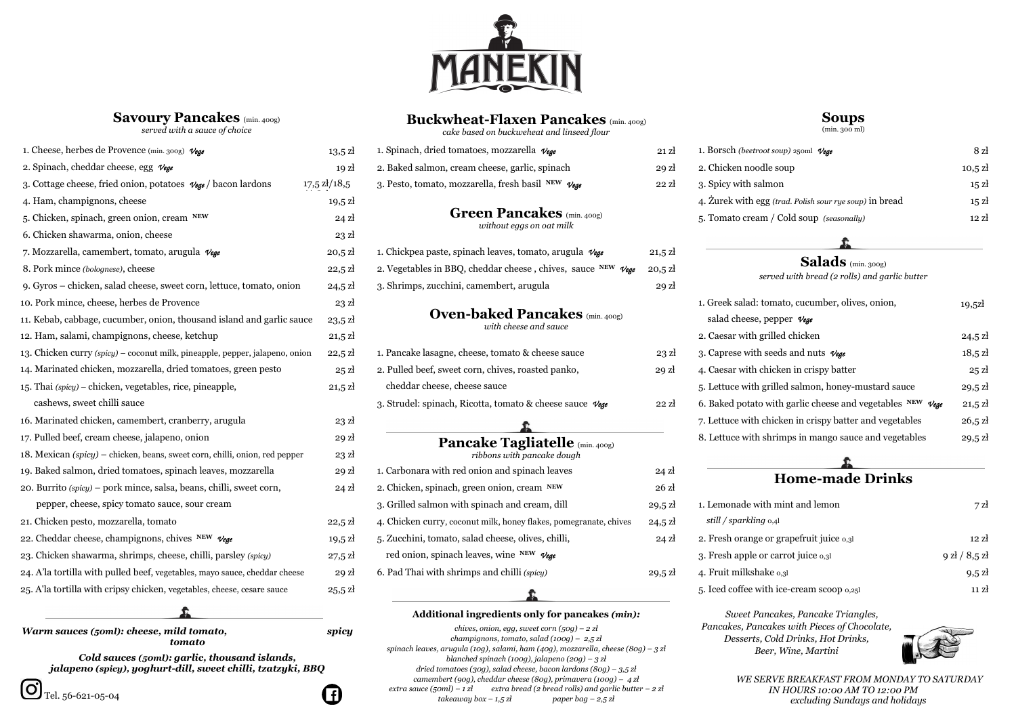

# **Savoury Pancakes** (min. 400g)

*served with a sauce of choice*

# **Buckwheat-Flaxen Pancakes** (min. 400g)

*cake based on buckweheat and linseed flour*

### **Soups** (min. 300 ml)

| 1. Cheese, herbes de Provence (min. 300g) Vege                                      | $13,5 \mathrm{Z}$                 | 1. Spinach, dried tomatoes, mozzarella $\nu$ ege                               | $21$ $\mathrm{Z}$ |
|-------------------------------------------------------------------------------------|-----------------------------------|--------------------------------------------------------------------------------|-------------------|
| 2. Spinach, cheddar cheese, egg $\nu_{\mathbf{g}}$                                  | 19z                               | 2. Baked salmon, cream cheese, garlic, spinach                                 | $29$ zł           |
| 3. Cottage cheese, fried onion, potatoes $\mathcal{V}_{\text{ege}}$ / bacon lardons | $17,5 \frac{\text{ } \chi}{18,5}$ | 3. Pesto, tomato, mozzarella, fresh basil NEW Vege                             | $22$ $\rm{Z}$     |
| 4. Ham, champignons, cheese                                                         | $19,5 \mathrm{Z}$                 |                                                                                |                   |
| 5. Chicken, spinach, green onion, cream NEW                                         | $24$ zł                           | <b>Green Pancakes</b> (min. 400g)<br>without eggs on oat milk                  |                   |
| 6. Chicken shawarma, onion, cheese                                                  | $23$ $\rm{z}$                     |                                                                                |                   |
| 7. Mozzarella, camembert, tomato, arugula Vege                                      | $20,5 \mathrm{Z}$                 | 1. Chickpea paste, spinach leaves, tomato, arugula $\nu_{\text{ege}}$          | $21,5 \mathrm{Z}$ |
| 8. Pork mince (bolognese), cheese                                                   | $22,5 \mathrm{Z}$                 | 2. Vegetables in BBQ, cheddar cheese, chives, sauce NEW $V_{\text{Ege}}$       | $20,5 \mathrm{Z}$ |
| 9. Gyros – chicken, salad cheese, sweet corn, lettuce, tomato, onion                | $24,5 \mathrm{Z}$                 | 3. Shrimps, zucchini, camembert, arugula                                       | 29z               |
| 10. Pork mince, cheese, herbes de Provence                                          | $23$ zł                           |                                                                                |                   |
| 11. Kebab, cabbage, cucumber, onion, thousand island and garlic sauce               | $23,5 \mathrm{Z}$                 | <b>Oven-baked Pancakes</b> (min. 400g)<br>with cheese and sauce                |                   |
| 12. Ham, salami, champignons, cheese, ketchup                                       | $21,5 \mathrm{Z}$                 |                                                                                |                   |
| 13. Chicken curry (spicy) – coconut milk, pineapple, pepper, jalapeno, onion        | $22,5 \mathrm{Z}$                 | 1. Pancake lasagne, cheese, tomato & cheese sauce                              | $23$ $\rm{z}$     |
| 14. Marinated chicken, mozzarella, dried tomatoes, green pesto                      | 25 z <sub>i</sub>                 | 2. Pulled beef, sweet corn, chives, roasted panko,                             | $29$ $\rm{z}$     |
| 15. Thai (spicy) – chicken, vegetables, rice, pineapple,                            | $21,5 \mathrm{Z}$                 | cheddar cheese, cheese sauce                                                   |                   |
| cashews, sweet chilli sauce                                                         |                                   | 3. Strudel: spinach, Ricotta, tomato & cheese sauce $\mathcal{V}_{\text{ege}}$ | $22$ $\rm{Z}$     |
| 16. Marinated chicken, camembert, cranberry, arugula                                | 23 z <sub>i</sub>                 |                                                                                |                   |
| 17. Pulled beef, cream cheese, jalapeno, onion                                      | $29$ $\rm{z}$                     | Pancake Tagliatelle (min. 400g)                                                |                   |
| 18. Mexican (spicy) – chicken, beans, sweet corn, chilli, onion, red pepper         | $23$ $\rm{z}$                     | ribbons with pancake dough                                                     |                   |
| 19. Baked salmon, dried tomatoes, spinach leaves, mozzarella                        | $29$ $\rm{z}$                     | 1. Carbonara with red onion and spinach leaves                                 | $24$ zł           |
| 20. Burrito (spicy) – pork mince, salsa, beans, chilli, sweet corn,                 | $24$ zł                           | 2. Chicken, spinach, green onion, cream NEW                                    | $26$ $\mathrm{z}$ |
| pepper, cheese, spicy tomato sauce, sour cream                                      |                                   | 3. Grilled salmon with spinach and cream, dill                                 | $29,5 \mathrm{Z}$ |
| 21. Chicken pesto, mozzarella, tomato                                               | $22,5 \mathrm{Z}$                 | 4. Chicken curry, coconut milk, honey flakes, pomegranate, chives              | $24,5 \mathrm{Z}$ |
| 22. Cheddar cheese, champignons, chives NEW $V_{\text{ege}}$                        | $19,5 \mathrm{Z}$                 | 5. Zucchini, tomato, salad cheese, olives, chilli,                             | $24$ zł           |
| 23. Chicken shawarma, shrimps, cheese, chilli, parsley (spicy)                      | $27.5$ zł                         | red onion, spinach leaves, wine NEW $V_{\text{ege}}$                           |                   |
| 24. A'la tortilla with pulled beef, vegetables, mayo sauce, cheddar cheese          | 29z                               | 6. Pad Thai with shrimps and chilli (spicy)                                    | $29,5 \mathrm{Z}$ |
| 25. A'la tortilla with cripsy chicken, vegetables, cheese, cesare sauce             | $25.5 \mathrm{Z}$                 |                                                                                |                   |

*Warm sauces (50ml): cheese, mild tomato, spicy tomato*

| 1. Cheese, herbes de Provence (min. 300g) Vege<br>$13,5 \mathrm{Z}$                 |                        | 1. Spinach, dried tomatoes, mozzarella $\nu$ ege                                              | 21 z <sub>i</sub> | 1. Borsch (beetroot soup) 250ml Vege                                     | 8 zł              |
|-------------------------------------------------------------------------------------|------------------------|-----------------------------------------------------------------------------------------------|-------------------|--------------------------------------------------------------------------|-------------------|
| 2. Spinach, cheddar cheese, egg $\mathcal{V}$ ege<br>19 zł                          |                        | 2. Baked salmon, cream cheese, garlic, spinach<br>29z                                         |                   | 2. Chicken noodle soup                                                   | $10,5 \mathrm{Z}$ |
| 3. Cottage cheese, fried onion, potatoes $\mathcal{V}_{\text{ege}}$ / bacon lardons | $17,5 \, \rm{zk}/18,5$ | 3. Pesto, tomato, mozzarella, fresh basil NEW $V_{\text{ege}}$                                | $22$ $\rm{Z}$     | 3. Spicy with salmon                                                     | 15z               |
| 4. Ham, champignons, cheese                                                         | $19,5 \mathrm{Z}$      |                                                                                               |                   | 4. Żurek with egg (trad. Polish sour rye soup) in bread                  | $15$ zł           |
| 5. Chicken, spinach, green onion, cream NEW                                         | $24$ zł                | <b>Green Pancakes</b> (min. 400g)                                                             |                   | 5. Tomato cream / Cold soup (seasonally)                                 | $12$ $\mathrm{Z}$ |
| 6. Chicken shawarma, onion, cheese                                                  | $23$ zł                | without eggs on oat milk                                                                      |                   |                                                                          |                   |
| 7. Mozzarella, camembert, tomato, arugula Vege                                      | $20,5 \mathrm{Z}$      | 1. Chickpea paste, spinach leaves, tomato, arugula $\nu_{\text{ege}}$                         | $21,5 \mathrm{Z}$ |                                                                          |                   |
| 8. Pork mince (bolognese), cheese                                                   | $22,5 \mathrm{Z}$      | 2. Vegetables in BBQ, cheddar cheese, chives, sauce NEW $V_{\text{ege}}$<br>$20,5 \mathrm{Z}$ |                   | <b>Salads</b> (min. 300g)                                                |                   |
| 9. Gyros – chicken, salad cheese, sweet corn, lettuce, tomato, onion                | $24,5 \mathrm{Z}$      | 3. Shrimps, zucchini, camembert, arugula                                                      | 29z               | served with bread (2 rolls) and garlic butter                            |                   |
| 10. Pork mince, cheese, herbes de Provence                                          | 23z                    |                                                                                               |                   | 1. Greek salad: tomato, cucumber, olives, onion,                         | 19,5z             |
| 11. Kebab, cabbage, cucumber, onion, thousand island and garlic sauce               | $23,5 \mathrm{Z}$      | <b>Oven-baked Pancakes</b> (min. 400g)                                                        |                   | salad cheese, pepper $\mathcal{V}$ ege                                   |                   |
| 12. Ham, salami, champignons, cheese, ketchup                                       | $21,5 \mathrm{Z}$      | with cheese and sauce                                                                         |                   | 2. Caesar with grilled chicken                                           | $24,5 \mathrm{Z}$ |
| 13. Chicken curry (spicy) - coconut milk, pineapple, pepper, jalapeno, onion        | $22,5 \mathrm{Z}$      | 1. Pancake lasagne, cheese, tomato & cheese sauce                                             | $23$ $\rm{z}$     | 3. Caprese with seeds and nuts $\nu_{\text{ege}}$                        | $18,5 \mathrm{Z}$ |
| 14. Marinated chicken, mozzarella, dried tomatoes, green pesto                      | 25z                    | 2. Pulled beef, sweet corn, chives, roasted panko,                                            | 29 zł             | 4. Caesar with chicken in crispy batter                                  | 25z               |
| 15. Thai (spicy) – chicken, vegetables, rice, pineapple,                            | $21,5 \mathrm{Z}$      | cheddar cheese, cheese sauce                                                                  |                   | 5. Lettuce with grilled salmon, honey-mustard sauce                      | $29,5 \mathrm{Z}$ |
| cashews, sweet chilli sauce                                                         |                        | 3. Strudel: spinach, Ricotta, tomato & cheese sauce Vege                                      | $22$ $\mathrm{Z}$ | 6. Baked potato with garlic cheese and vegetables $NEW$ $V_{\text{ege}}$ | $21,5 \mathrm{Z}$ |
| 16. Marinated chicken, camembert, cranberry, arugula                                | $23$ zł                |                                                                                               |                   | 7. Lettuce with chicken in crispy batter and vegetables                  | $26,5 \mathrm{Z}$ |
| 17. Pulled beef, cream cheese, jalapeno, onion                                      | 29 zł                  | Pancake Tagliatelle (min. 400g)                                                               |                   | 8. Lettuce with shrimps in mango sauce and vegetables                    | $29,5 \mathrm{Z}$ |
| 18. Mexican (spicy) – chicken, beans, sweet corn, chilli, onion, red pepper         | 23 zł                  | ribbons with pancake dough                                                                    |                   |                                                                          |                   |
| 19. Baked salmon, dried tomatoes, spinach leaves, mozzarella                        | 29 zł                  | 1. Carbonara with red onion and spinach leaves                                                | $24$ zł           |                                                                          |                   |
| 20. Burrito (spicy) – pork mince, salsa, beans, chilli, sweet corn,                 | $24$ zł                | 2. Chicken, spinach, green onion, cream NEW                                                   | 26z               | <b>Home-made Drinks</b>                                                  |                   |
| pepper, cheese, spicy tomato sauce, sour cream                                      |                        | 3. Grilled salmon with spinach and cream, dill                                                | $29,5 \mathrm{Z}$ | 1. Lemonade with mint and lemon                                          | 7z                |
| 21. Chicken pesto, mozzarella, tomato                                               | $22,5 \mathrm{Z}$      | 4. Chicken curry, coconut milk, honey flakes, pomegranate, chives                             | $24,5 \mathrm{Z}$ | still / sparkling 0,41                                                   |                   |
| 22. Cheddar cheese, champignons, chives NEW $\nu_{\text{Ege}}$                      | $19,5 \mathrm{Z}$      | 5. Zucchini, tomato, salad cheese, olives, chilli,                                            | $24$ zł           | 2. Fresh orange or grapefruit juice 0,31                                 | 12 zł             |
| 23. Chicken shawarma, shrimps, cheese, chilli, parsley (spicy)                      | $27.5$ zł              | red onion, spinach leaves, wine NEW $\nu_{\text{ege}}$                                        |                   | 3. Fresh apple or carrot juice 0,31                                      | $9$ zł $/ 8,5$ zł |
| 24. A'la tortilla with pulled beef, vegetables, mayo sauce, cheddar cheese          | 29 zł                  | 6. Pad Thai with shrimps and chilli (spicy)                                                   | $29,5 \mathrm{Z}$ | 4. Fruit milkshake 0,31                                                  | $9,5$ zł          |
| 25. A'la tortilla with cripsy chicken, vegetables, cheese, cesare sauce             | $25.5$ zł              |                                                                                               |                   | 5. Iced coffee with ice-cream scoop 0,25l                                | 11 zł             |
|                                                                                     |                        |                                                                                               |                   |                                                                          |                   |

## **Additional ingredients only for pancakes** *(min):*

*chives, onion, egg, sweet corn (50g) – 2 zł champignons, tomato, salad (100g) – 2,5 zł spinach leaves, arugula (10g), salami, ham (40g), mozzarella, cheese (80g) – 3 zł blanched spinach (100g), jalapeno (20g) – 3 zł dried tomatoes (30g), salad cheese, bacon lardons (80g) – 3,5 zł camembert (90g), cheddar cheese (80g), primavera (100g) – 4 zł extra sauce (50ml) – 1 zł extra bread (2 bread rolls) and garlic butter – 2 zł takeaway box – 1,5 zł paper bag – 2,5 zł*

*Cold sauces (50ml): garlic, thousand islands,* 

 $\left[\begin{matrix} f \end{matrix}\right]$ 

*jalapeno (spicy), yoghurt-dill, sweet chilli, tzatzyki, BBQ*

 *Sweet Pancakes, Pancake Triangles, Pancakes, Pancakes with Pieces of Chocolate, Desserts, Cold Drinks, Hot Drinks, Beer, Wine, Martini*



*WE SERVE BREAKFAST FROM MONDAY TO SATURDAY IN HOURS 10:00 AM TO 12:00 PM excluding Sundays and holidays*